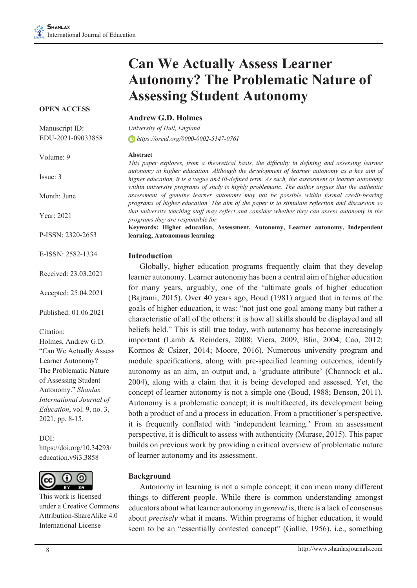# **Can We Actually Assess Learner Autonomy? The Problematic Nature of Assessing Student Autonomy**

#### **OPEN ACCESS**

Manuscript ID: EDU-2021-09033858

Volume: 9

Issue: 3

Month: June

Year: 2021

P-ISSN: 2320-2653

E-ISSN: 2582-1334

Received: 23.03.2021

Accepted: 25.04.2021

Published: 01.06.2021

Citation:

Holmes, Andrew G.D. "Can We Actually Assess Learner Autonomy? The Problematic Nature of Assessing Student Autonomy." *Shanlax International Journal of Education*, vol. 9, no. 3, 2021, pp. 8-15.

DOI:

https://doi.org/10.34293/ education.v9i3.3858



This work is licensed under a Creative Commons Attribution-ShareAlike 4.0 International License

#### **Andrew G.D. Holmes**

*University of Hull, England https://orcid.org/0000-0002-5147-0761*

#### **Abstract**

*This paper explores, from a theoretical basis, the difficulty in defining and assessing learner autonomy in higher education. Although the development of learner autonomy as a key aim of higher education, it is a vague and ill-defined term. As such, the assessment of learner autonomy within university programs of study is highly problematic. The author argues that the authentic assessment of genuine learner autonomy may not be possible within formal credit-bearing programs of higher education. The aim of the paper is to stimulate reflection and discussion so that university teaching staff may reflect and consider whether they can assess autonomy in the programs they are responsible for.*

**Keywords: Higher education, Assessment, Autonomy, Learner autonomy, Independent learning, Autonomous learning**

#### **Introduction**

 Globally, higher education programs frequently claim that they develop learner autonomy. Learner autonomy has been a central aim of higher education for many years, arguably, one of the 'ultimate goals of higher education (Bajrami, 2015). Over 40 years ago, Boud (1981) argued that in terms of the goals of higher education, it was: "not just one goal among many but rather a characteristic of all of the others: it is how all skills should be displayed and all beliefs held." This is still true today, with autonomy has become increasingly important (Lamb & Reinders, 2008; Viera, 2009, Blin, 2004; Cao, 2012; Kormos & Csizer, 2014; Moore, 2016). Numerous university program and module specifications, along with pre-specified learning outcomes, identify autonomy as an aim, an output and, a 'graduate attribute' (Channock et al., 2004), along with a claim that it is being developed and assessed. Yet, the concept of learner autonomy is not a simple one (Boud, 1988; Benson, 2011). Autonomy is a problematic concept; it is multifaceted, its development being both a product of and a process in education. From a practitioner's perspective, it is frequently conflated with 'independent learning.' From an assessment perspective, it is difficult to assess with authenticity (Murase, 2015). This paper builds on previous work by providing a critical overview of problematic nature of learner autonomy and its assessment.

#### **Background**

 Autonomy in learning is not a simple concept; it can mean many different things to different people. While there is common understanding amongst educators about what learner autonomy in *general* is, there is a lack of consensus about *precisely* what it means. Within programs of higher education, it would seem to be an "essentially contested concept" (Gallie, 1956), i.e., something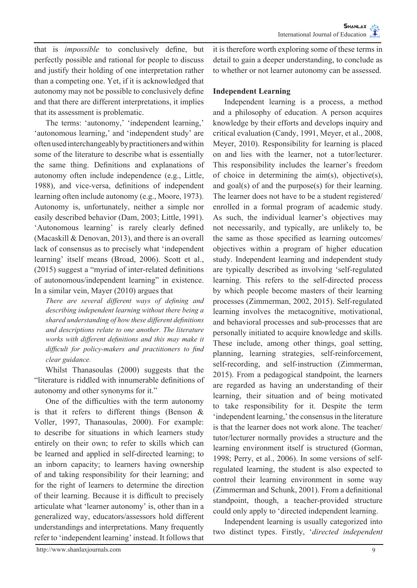that is *impossible* to conclusively define, but perfectly possible and rational for people to discuss and justify their holding of one interpretation rather than a competing one. Yet, if it is acknowledged that autonomy may not be possible to conclusively define and that there are different interpretations, it implies that its assessment is problematic.

The terms: 'autonomy,' 'independent learning,' 'autonomous learning,' and 'independent study' are oftenusedinterchangeablybypractitioners andwithin some of the literature to describe what is essentially the same thing. Definitions and explanations of autonomy often include independence (e.g., Little, 1988), and vice-versa, definitions of independent learning often include autonomy (e.g., Moore, 1973). Autonomy is, unfortunately, neither a simple nor easily described behavior (Dam, 2003; Little, 1991). 'Autonomous learning' is rarely clearly defined (Macaskill & Denovan, 2013), and there is an overall lack of consensus as to precisely what 'independent learning' itself means (Broad, 2006). Scott et al., (2015) suggest a "myriad of inter-related definitions of autonomous/independent learning" in existence. In a similar vein, Mayer (2010) argues that

*There are several different ways of defining and describing independent learning without there being a shared understanding of how these different definitions and descriptions relate to one another. The literature works with different definitions and this may make it difficult for policy-makers and practitioners to find clear guidance.*

 Whilst Thanasoulas (2000) suggests that the "literature is riddled with innumerable definitions of autonomy and other synonyms for it."

 One of the difficulties with the term autonomy is that it refers to different things (Benson & Voller, 1997, Thanasoulas, 2000). For example: to describe for situations in which learners study entirely on their own; to refer to skills which can be learned and applied in self-directed learning; to an inborn capacity; to learners having ownership of and taking responsibility for their learning; and for the right of learners to determine the direction of their learning. Because it is difficult to precisely articulate what 'learner autonomy' is, other than in a generalized way, educators/assessors hold different understandings and interpretations. Many frequently refer to 'independent learning' instead. It follows that it is therefore worth exploring some of these terms in detail to gain a deeper understanding, to conclude as to whether or not learner autonomy can be assessed.

### **Independent Learning**

 Independent learning is a process, a method and a philosophy of education. A person acquires knowledge by their efforts and develops inquiry and critical evaluation (Candy, 1991, Meyer, et al., 2008, Meyer, 2010). Responsibility for learning is placed on and lies with the learner, not a tutor/lecturer. This responsibility includes the learner's freedom of choice in determining the aim(s), objective(s), and goal(s) of and the purpose(s) for their learning. The learner does not have to be a student registered/ enrolled in a formal program of academic study. As such, the individual learner's objectives may not necessarily, and typically, are unlikely to, be the same as those specified as learning outcomes/ objectives within a program of higher education study. Independent learning and independent study are typically described as involving 'self-regulated learning. This refers to the self-directed process by which people become masters of their learning processes (Zimmerman, 2002, 2015). Self-regulated learning involves the metacognitive, motivational, and behavioral processes and sub-processes that are personally initiated to acquire knowledge and skills. These include, among other things, goal setting, planning, learning strategies, self-reinforcement, self-recording, and self-instruction (Zimmerman, 2015). From a pedagogical standpoint, the learners are regarded as having an understanding of their learning, their situation and of being motivated to take responsibility for it. Despite the term 'independent learning,' the consensusin the literature is that the learner does not work alone. The teacher/ tutor/lecturer normally provides a structure and the learning environment itself is structured (Gorman, 1998; Perry, et al., 2006). In some versions of selfregulated learning, the student is also expected to control their learning environment in some way (Zimmerman and Schunk, 2001). From a definitional standpoint, though, a teacher-provided structure could only apply to 'directed independent learning.

 Independent learning is usually categorized into two distinct types. Firstly, '*directed independent*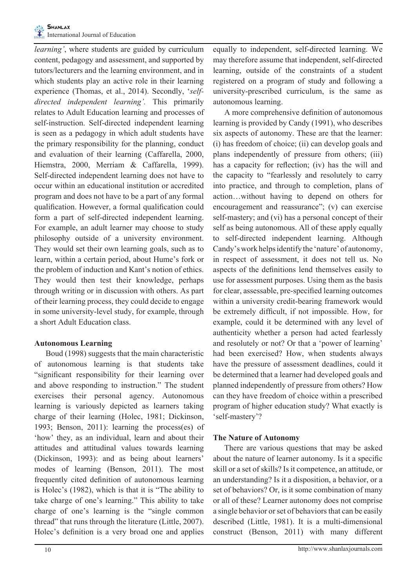*learning'*, where students are guided by curriculum content, pedagogy and assessment, and supported by tutors/lecturers and the learning environment, and in which students play an active role in their learning experience (Thomas, et al., 2014). Secondly, '*selfdirected independent learning'.* This primarily relates to Adult Education learning and processes of self-instruction. Self-directed independent learning is seen as a pedagogy in which adult students have the primary responsibility for the planning, conduct and evaluation of their learning (Caffarella, 2000, Hiemstra, 2000, Merriam & Caffarella, 1999). Self-directed independent learning does not have to occur within an educational institution or accredited program and does not have to be a part of any formal qualification. However, a formal qualification could form a part of self-directed independent learning. For example, an adult learner may choose to study philosophy outside of a university environment. They would set their own learning goals, such as to learn, within a certain period, about Hume's fork or the problem of induction and Kant's notion of ethics. They would then test their knowledge, perhaps through writing or in discussion with others. As part of their learning process, they could decide to engage in some university-level study, for example, through a short Adult Education class.

#### **Autonomous Learning**

 Boud (1998) suggests that the main characteristic of autonomous learning is that students take "significant responsibility for their learning over and above responding to instruction." The student exercises their personal agency. Autonomous learning is variously depicted as learners taking charge of their learning (Holec, 1981; Dickinson, 1993; Benson, 2011): learning the process(es) of 'how' they, as an individual, learn and about their attitudes and attitudinal values towards learning (Dickinson, 1993): and as being about learners' modes of learning (Benson, 2011). The most frequently cited definition of autonomous learning is Holec's (1982), which is that it is "The ability to take charge of one's learning." This ability to take charge of one's learning is the "single common thread" that runs through the literature (Little, 2007). Holec's definition is a very broad one and applies

equally to independent, self-directed learning. We may therefore assume that independent, self-directed learning, outside of the constraints of a student registered on a program of study and following a university-prescribed curriculum, is the same as autonomous learning.

 A more comprehensive definition of autonomous learning is provided by Candy (1991), who describes six aspects of autonomy. These are that the learner: (i) has freedom of choice; (ii) can develop goals and plans independently of pressure from others; (iii) has a capacity for reflection; (iv) has the will and the capacity to "fearlessly and resolutely to carry into practice, and through to completion, plans of action…without having to depend on others for encouragement and reassurance"; (v) can exercise self-mastery; and (vi) has a personal concept of their self as being autonomous. All of these apply equally to self-directed independent learning. Although Candy'swork helpsidentify the 'nature' of autonomy, in respect of assessment, it does not tell us. No aspects of the definitions lend themselves easily to use for assessment purposes. Using them as the basis for clear, assessable, pre-specified learning outcomes within a university credit-bearing framework would be extremely difficult, if not impossible. How, for example, could it be determined with any level of authenticity whether a person had acted fearlessly and resolutely or not? Or that a 'power of learning' had been exercised? How, when students always have the pressure of assessment deadlines, could it be determined that a learner had developed goals and planned independently of pressure from others? How can they have freedom of choice within a prescribed program of higher education study? What exactly is 'self-mastery'?

#### **The Nature of Autonomy**

 There are various questions that may be asked about the nature of learner autonomy. Is it a specific skill or a set of skills? Is it competence, an attitude, or an understanding? Is it a disposition, a behavior, or a set of behaviors? Or, is it some combination of many or all of these? Learner autonomy does not comprise a single behavior or set of behaviors that can be easily described (Little, 1981). It is a multi-dimensional construct (Benson, 2011) with many different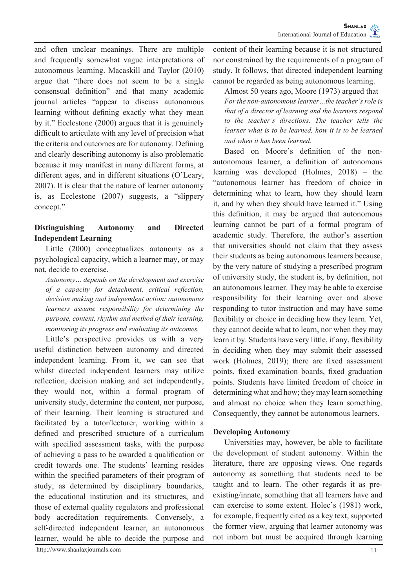and often unclear meanings. There are multiple and frequently somewhat vague interpretations of autonomous learning. Macaskill and Taylor (2010) argue that "there does not seem to be a single consensual definition" and that many academic journal articles "appear to discuss autonomous learning without defining exactly what they mean by it." Ecclestone (2000) argues that it is genuinely difficult to articulate with any level of precision what the criteria and outcomes are for autonomy. Defining and clearly describing autonomy is also problematic because it may manifest in many different forms, at different ages, and in different situations (O'Leary, 2007). It is clear that the nature of learner autonomy is, as Ecclestone (2007) suggests, a "slippery concept."

## **Distinguishing Autonomy and Directed Independent Learning**

 Little (2000) conceptualizes autonomy as a psychological capacity, which a learner may, or may not, decide to exercise.

*Autonomy… depends on the development and exercise of a capacity for detachment, critical reflection, decision making and independent action: autonomous learners assume responsibility for determining the purpose, content, rhythm and method of their learning, monitoring its progress and evaluating its outcomes.*

 Little's perspective provides us with a very useful distinction between autonomy and directed independent learning. From it, we can see that whilst directed independent learners may utilize reflection, decision making and act independently, they would not, within a formal program of university study, determine the content, nor purpose, of their learning. Their learning is structured and facilitated by a tutor/lecturer, working within a defined and prescribed structure of a curriculum with specified assessment tasks, with the purpose of achieving a pass to be awarded a qualification or credit towards one. The students' learning resides within the specified parameters of their program of study, as determined by disciplinary boundaries, the educational institution and its structures, and those of external quality regulators and professional body accreditation requirements. Conversely, a self-directed independent learner, an autonomous learner, would be able to decide the purpose and

http://www.shanlaxjournals.com 11

content of their learning because it is not structured nor constrained by the requirements of a program of study. It follows, that directed independent learning cannot be regarded as being autonomous learning.

 Almost 50 years ago, Moore (1973) argued that *For the non-autonomous learner…the teacher's role is that of a director of learning and the learners respond to the teacher's directions. The teacher tells the learner what is to be learned, how it is to be learned and when it has been learned.*

 Based on Moore's definition of the nonautonomous learner, a definition of autonomous learning was developed (Holmes, 2018) – the "autonomous learner has freedom of choice in determining what to learn, how they should learn it, and by when they should have learned it." Using this definition, it may be argued that autonomous learning cannot be part of a formal program of academic study. Therefore, the author's assertion that universities should not claim that they assess their students as being autonomous learners because, by the very nature of studying a prescribed program of university study, the student is, by definition, not an autonomous learner. They may be able to exercise responsibility for their learning over and above responding to tutor instruction and may have some flexibility or choice in deciding how they learn. Yet, they cannot decide what to learn, nor when they may learn it by. Students have very little, if any, flexibility in deciding when they may submit their assessed work (Holmes, 2019); there are fixed assessment points, fixed examination boards, fixed graduation points. Students have limited freedom of choice in determining what and how; they may learn something and almost no choice when they learn something. Consequently, they cannot be autonomous learners.

#### **Developing Autonomy**

 Universities may, however, be able to facilitate the development of student autonomy. Within the literature, there are opposing views. One regards autonomy as something that students need to be taught and to learn. The other regards it as preexisting/innate, something that all learners have and can exercise to some extent. Holec's (1981) work, for example, frequently cited as a key text, supported the former view, arguing that learner autonomy was not inborn but must be acquired through learning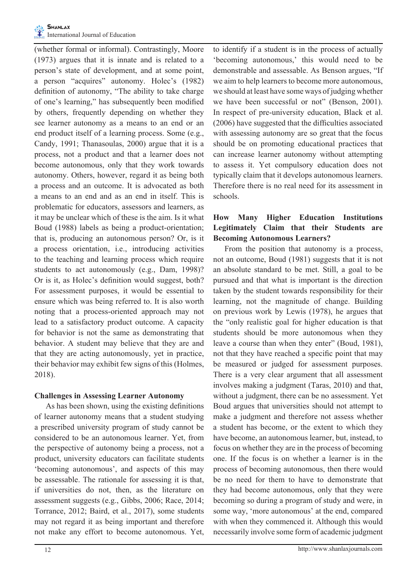(whether formal or informal). Contrastingly, Moore (1973) argues that it is innate and is related to a person's state of development, and at some point, a person "acquires" autonomy. Holec's (1982) definition of autonomy, "The ability to take charge of one's learning," has subsequently been modified by others, frequently depending on whether they see learner autonomy as a means to an end or an end product itself of a learning process. Some (e.g., Candy, 1991; Thanasoulas, 2000) argue that it is a process, not a product and that a learner does not become autonomous, only that they work towards autonomy. Others, however, regard it as being both a process and an outcome. It is advocated as both a means to an end and as an end in itself. This is problematic for educators, assessors and learners, as it may be unclear which of these is the aim. Is it what Boud (1988) labels as being a product-orientation; that is, producing an autonomous person? Or, is it a process orientation, i.e., introducing activities to the teaching and learning process which require students to act autonomously (e.g., Dam, 1998)? Or is it, as Holec's definition would suggest, both? For assessment purposes, it would be essential to ensure which was being referred to. It is also worth noting that a process-oriented approach may not lead to a satisfactory product outcome. A capacity for behavior is not the same as demonstrating that behavior. A student may believe that they are and that they are acting autonomously, yet in practice, their behavior may exhibit few signs of this (Holmes, 2018).

#### **Challenges in Assessing Learner Autonomy**

 As has been shown, using the existing definitions of learner autonomy means that a student studying a prescribed university program of study cannot be considered to be an autonomous learner. Yet, from the perspective of autonomy being a process, not a product, university educators can facilitate students 'becoming autonomous', and aspects of this may be assessable. The rationale for assessing it is that, if universities do not, then, as the literature on assessment suggests (e.g., Gibbs, 2006; Race, 2014; Torrance, 2012; Baird, et al., 2017), some students may not regard it as being important and therefore not make any effort to become autonomous. Yet,

to identify if a student is in the process of actually 'becoming autonomous,' this would need to be demonstrable and assessable. As Benson argues, "If we aim to help learners to become more autonomous, we should at least have some ways of judging whether we have been successful or not" (Benson, 2001). In respect of pre-university education, Black et al. (2006) have suggested that the difficulties associated with assessing autonomy are so great that the focus should be on promoting educational practices that can increase learner autonomy without attempting to assess it. Yet compulsory education does not typically claim that it develops autonomous learners. Therefore there is no real need for its assessment in schools.

# **How Many Higher Education Institutions Legitimately Claim that their Students are Becoming Autonomous Learners?**

 From the position that autonomy is a process, not an outcome, Boud (1981) suggests that it is not an absolute standard to be met. Still, a goal to be pursued and that what is important is the direction taken by the student towards responsibility for their learning, not the magnitude of change. Building on previous work by Lewis (1978), he argues that the "only realistic goal for higher education is that students should be more autonomous when they leave a course than when they enter" (Boud, 1981), not that they have reached a specific point that may be measured or judged for assessment purposes. There is a very clear argument that all assessment involves making a judgment (Taras, 2010) and that, without a judgment, there can be no assessment. Yet Boud argues that universities should not attempt to make a judgment and therefore not assess whether a student has become, or the extent to which they have become, an autonomous learner, but, instead, to focus on whether they are in the process of becoming one. If the focus is on whether a learner is in the process of becoming autonomous, then there would be no need for them to have to demonstrate that they had become autonomous, only that they were becoming so during a program of study and were, in some way, 'more autonomous' at the end, compared with when they commenced it. Although this would necessarily involve some form of academic judgment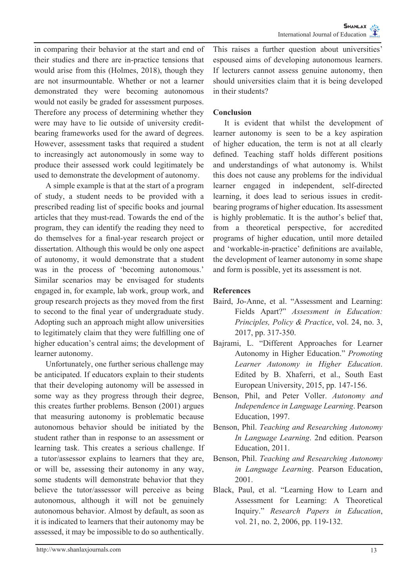in comparing their behavior at the start and end of their studies and there are in-practice tensions that would arise from this (Holmes, 2018), though they are not insurmountable. Whether or not a learner demonstrated they were becoming autonomous would not easily be graded for assessment purposes. Therefore any process of determining whether they were may have to lie outside of university creditbearing frameworks used for the award of degrees. However, assessment tasks that required a student to increasingly act autonomously in some way to produce their assessed work could legitimately be used to demonstrate the development of autonomy.

 A simple example is that at the start of a program of study, a student needs to be provided with a prescribed reading list of specific books and journal articles that they must-read. Towards the end of the program, they can identify the reading they need to do themselves for a final-year research project or dissertation. Although this would be only one aspect of autonomy, it would demonstrate that a student was in the process of 'becoming autonomous.' Similar scenarios may be envisaged for students engaged in, for example, lab work, group work, and group research projects as they moved from the first to second to the final year of undergraduate study. Adopting such an approach might allow universities to legitimately claim that they were fulfilling one of higher education's central aims; the development of learner autonomy.

 Unfortunately, one further serious challenge may be anticipated. If educators explain to their students that their developing autonomy will be assessed in some way as they progress through their degree, this creates further problems. Benson (2001) argues that measuring autonomy is problematic because autonomous behavior should be initiated by the student rather than in response to an assessment or learning task. This creates a serious challenge. If a tutor/assessor explains to learners that they are, or will be, assessing their autonomy in any way, some students will demonstrate behavior that they believe the tutor/assessor will perceive as being autonomous, although it will not be genuinely autonomous behavior. Almost by default, as soon as it is indicated to learners that their autonomy may be assessed, it may be impossible to do so authentically.

This raises a further question about universities' espoused aims of developing autonomous learners. If lecturers cannot assess genuine autonomy, then should universities claim that it is being developed in their students?

#### **Conclusion**

 It is evident that whilst the development of learner autonomy is seen to be a key aspiration of higher education, the term is not at all clearly defined. Teaching staff holds different positions and understandings of what autonomy is. Whilst this does not cause any problems for the individual learner engaged in independent, self-directed learning, it does lead to serious issues in creditbearing programs of higher education. Its assessment is highly problematic. It is the author's belief that, from a theoretical perspective, for accredited programs of higher education, until more detailed and 'workable-in-practice' definitions are available, the development of learner autonomy in some shape and form is possible, yet its assessment is not.

#### **References**

- Baird, Jo-Anne, et al. "Assessment and Learning: Fields Apart?" *Assessment in Education: Principles, Policy & Practice*, vol. 24, no. 3, 2017, pp. 317-350.
- Bajrami, L. "Different Approaches for Learner Autonomy in Higher Education." *Promoting Learner Autonomy in Higher Education*. Edited by B. Xhaferri, et al., South East European University, 2015, pp. 147-156.
- Benson, Phil, and Peter Voller. *Autonomy and Independence in Language Learning*. Pearson Education, 1997.
- Benson, Phil. *Teaching and Researching Autonomy In Language Learning*. 2nd edition. Pearson Education, 2011.
- Benson, Phil. *Teaching and Researching Autonomy in Language Learning*. Pearson Education, 2001.
- Black, Paul, et al. "Learning How to Learn and Assessment for Learning: A Theoretical Inquiry." *Research Papers in Education*, vol. 21, no. 2, 2006, pp. 119-132.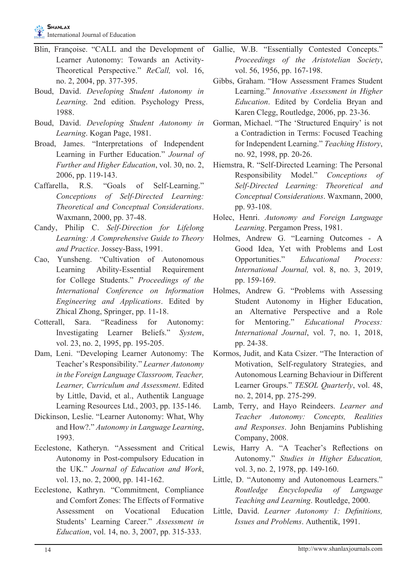- Blin, Françoise. "CALL and the Development of Learner Autonomy: Towards an Activity-Theoretical Perspective." *ReCall,* vol. 16, no. 2, 2004, pp. 377-395.
- Boud, David. *Developing Student Autonomy in Learning*. 2nd edition. Psychology Press, 1988.
- Boud, David. *Developing Student Autonomy in Learning*. Kogan Page, 1981.
- Broad, James. "Interpretations of Independent Learning in Further Education." *Journal of Further and Higher Education*, vol. 30, no. 2, 2006, pp. 119-143.
- Caffarella, R.S. "Goals of Self-Learning." *Conceptions of Self-Directed Learning: Theoretical and Conceptual Considerations*. Waxmann, 2000, pp. 37-48.
- Candy, Philip C. *Self-Direction for Lifelong Learning: A Comprehensive Guide to Theory and Practice*. Jossey-Bass, 1991.
- Cao, Yunsheng. "Cultivation of Autonomous Learning Ability-Essential Requirement for College Students." *Proceedings of the International Conference on Information Engineering and Applications*. Edited by Zhical Zhong, Springer, pp. 11-18.
- Cotterall, Sara. "Readiness for Autonomy: Investigating Learner Beliefs." *System*, vol. 23, no. 2, 1995, pp. 195-205.
- Dam, Leni. "Developing Learner Autonomy: The Teacher's Responsibility." *Learner Autonomy in the Foreign Language Classroom, Teacher, Learner, Curriculum and Assessment*. Edited by Little, David, et al., Authentik Language Learning Resources Ltd., 2003, pp. 135-146.
- Dickinson, Leslie. "Learner Autonomy: What, Why and How?." *Autonomy in Language Learning*, 1993.
- Ecclestone, Katheryn. "Assessment and Critical Autonomy in Post-compulsory Education in the UK." *Journal of Education and Work*, vol. 13, no. 2, 2000, pp. 141-162.
- Ecclestone, Kathryn. "Commitment, Compliance and Comfort Zones: The Effects of Formative Assessment on Vocational Education Students' Learning Career." *Assessment in Education*, vol. 14, no. 3, 2007, pp. 315-333.
- Gallie, W.B. "Essentially Contested Concepts." *Proceedings of the Aristotelian Society*, vol. 56, 1956, pp. 167-198.
- Gibbs, Graham. "How Assessment Frames Student Learning." *Innovative Assessment in Higher Education*. Edited by Cordelia Bryan and Karen Clegg, Routledge, 2006, pp. 23-36.
- Gorman, Michael. "The 'Structured Enquiry' is not a Contradiction in Terms: Focused Teaching for Independent Learning." *Teaching History*, no. 92, 1998, pp. 20-26.
- Hiemstra, R. "Self-Directed Learning: The Personal Responsibility Model." *Conceptions of Self-Directed Learning: Theoretical and Conceptual Considerations*. Waxmann, 2000, pp. 93-108.
- Holec, Henri. *Autonomy and Foreign Language Learning*. Pergamon Press, 1981.
- Holmes, Andrew G. "Learning Outcomes A Good Idea, Yet with Problems and Lost Opportunities." *Educational Process: International Journal,* vol. 8, no. 3, 2019, pp. 159-169.
- Holmes, Andrew G. "Problems with Assessing Student Autonomy in Higher Education, an Alternative Perspective and a Role for Mentoring." *Educational Process: International Journal*, vol. 7, no. 1, 2018, pp. 24-38.
- Kormos, Judit, and Kata Csizer. "The Interaction of Motivation, Self-regulatory Strategies, and Autonomous Learning Behaviour in Different Learner Groups." *TESOL Quarterly*, vol. 48, no. 2, 2014, pp. 275-299.
- Lamb, Terry, and Hayo Reindeers. *Learner and Teacher Autonomy: Concepts, Realities and Responses*. John Benjamins Publishing Company, 2008.
- Lewis, Harry A. "A Teacher's Reflections on Autonomy." *Studies in Higher Education,*  vol. 3, no. 2, 1978, pp. 149-160.
- Little, D. "Autonomy and Autonomous Learners." *Routledge Encyclopedia of Language Teaching and Learning*. Routledge, 2000.
- Little, David. *Learner Autonomy 1: Definitions, Issues and Problems*. Authentik, 1991.